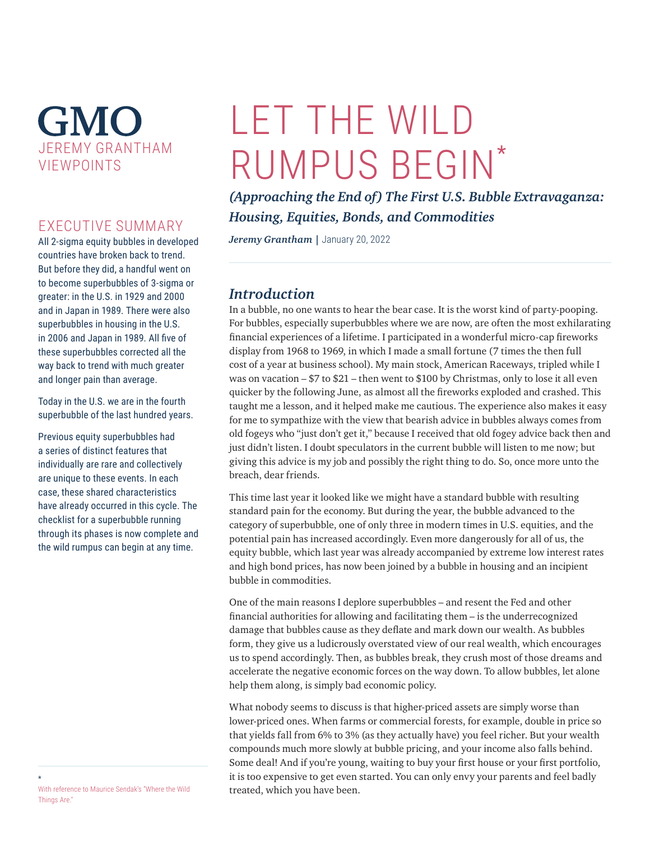## **GMO** JEREMY GRANTHAM VIEWPOINTS

## EXECUTIVE SUMMARY

All 2-sigma equity bubbles in developed countries have broken back to trend. But before they did, a handful went on to become superbubbles of 3-sigma or greater: in the U.S. in 1929 and 2000 and in Japan in 1989. There were also superbubbles in housing in the U.S. in 2006 and Japan in 1989. All five of these superbubbles corrected all the way back to trend with much greater and longer pain than average.

Today in the U.S. we are in the fourth superbubble of the last hundred years.

Previous equity superbubbles had a series of distinct features that individually are rare and collectively are unique to these events. In each case, these shared characteristics have already occurred in this cycle. The checklist for a superbubble running through its phases is now complete and the wild rumpus can begin at any time.

## *(Approaching the End of) The First U.S. Bubble Extravaganza: Housing, Equities, Bonds, and Commodities Jeremy Grantham* | January 20, 2022

## *Introduction*

LET THE WILD

RUMPUS BEGIN\*

In a bubble, no one wants to hear the bear case. It is the worst kind of party-pooping. For bubbles, especially superbubbles where we are now, are often the most exhilarating financial experiences of a lifetime. I participated in a wonderful micro-cap fireworks display from 1968 to 1969, in which I made a small fortune (7 times the then full cost of a year at business school). My main stock, American Raceways, tripled while I was on vacation – \$7 to \$21 – then went to \$100 by Christmas, only to lose it all even quicker by the following June, as almost all the fireworks exploded and crashed. This taught me a lesson, and it helped make me cautious. The experience also makes it easy for me to sympathize with the view that bearish advice in bubbles always comes from old fogeys who "just don't get it," because I received that old fogey advice back then and just didn't listen. I doubt speculators in the current bubble will listen to me now; but giving this advice is my job and possibly the right thing to do. So, once more unto the breach, dear friends.

This time last year it looked like we might have a standard bubble with resulting standard pain for the economy. But during the year, the bubble advanced to the category of superbubble, one of only three in modern times in U.S. equities, and the potential pain has increased accordingly. Even more dangerously for all of us, the equity bubble, which last year was already accompanied by extreme low interest rates and high bond prices, has now been joined by a bubble in housing and an incipient bubble in commodities.

One of the main reasons I deplore superbubbles – and resent the Fed and other financial authorities for allowing and facilitating them – is the underrecognized damage that bubbles cause as they deflate and mark down our wealth. As bubbles form, they give us a ludicrously overstated view of our real wealth, which encourages us to spend accordingly. Then, as bubbles break, they crush most of those dreams and accelerate the negative economic forces on the way down. To allow bubbles, let alone help them along, is simply bad economic policy.

What nobody seems to discuss is that higher-priced assets are simply worse than lower-priced ones. When farms or commercial forests, for example, double in price so that yields fall from 6% to 3% (as they actually have) you feel richer. But your wealth compounds much more slowly at bubble pricing, and your income also falls behind. Some deal! And if you're young, waiting to buy your first house or your first portfolio, it is too expensive to get even started. You can only envy your parents and feel badly treated, which you have been.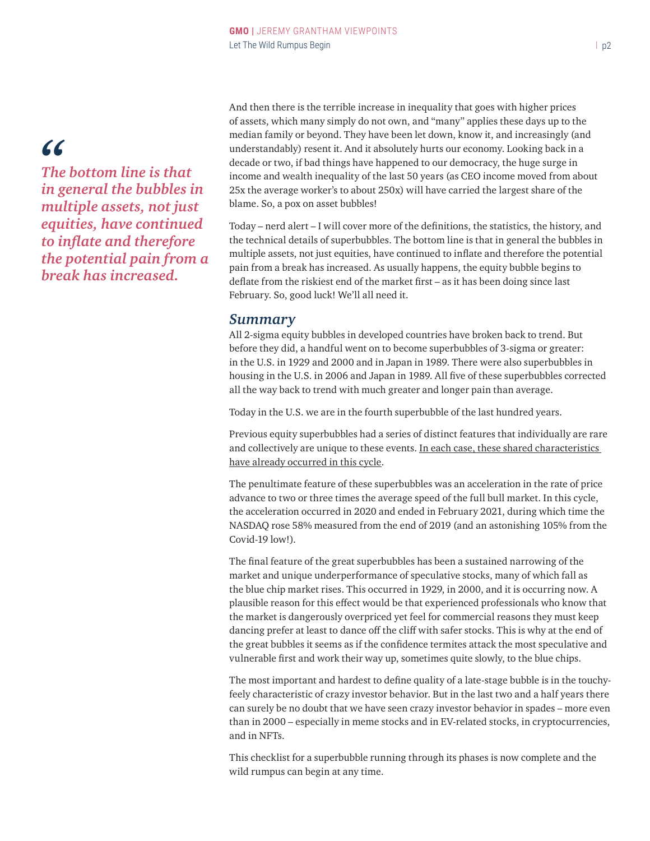## *"*

*The bottom line is that in general the bubbles in multiple assets, not just equities, have continued to inflate and therefore the potential pain from a break has increased.*

And then there is the terrible increase in inequality that goes with higher prices of assets, which many simply do not own, and "many" applies these days up to the median family or beyond. They have been let down, know it, and increasingly (and understandably) resent it. And it absolutely hurts our economy. Looking back in a decade or two, if bad things have happened to our democracy, the huge surge in income and wealth inequality of the last 50 years (as CEO income moved from about 25x the average worker's to about 250x) will have carried the largest share of the blame. So, a pox on asset bubbles!

Today – nerd alert – I will cover more of the definitions, the statistics, the history, and the technical details of superbubbles. The bottom line is that in general the bubbles in multiple assets, not just equities, have continued to inflate and therefore the potential pain from a break has increased. As usually happens, the equity bubble begins to deflate from the riskiest end of the market first – as it has been doing since last February. So, good luck! We'll all need it.

#### *Summary*

All 2-sigma equity bubbles in developed countries have broken back to trend. But before they did, a handful went on to become superbubbles of 3-sigma or greater: in the U.S. in 1929 and 2000 and in Japan in 1989. There were also superbubbles in housing in the U.S. in 2006 and Japan in 1989. All five of these superbubbles corrected all the way back to trend with much greater and longer pain than average.

Today in the U.S. we are in the fourth superbubble of the last hundred years.

Previous equity superbubbles had a series of distinct features that individually are rare and collectively are unique to these events. In each case, these shared characteristics have already occurred in this cycle.

The penultimate feature of these superbubbles was an acceleration in the rate of price advance to two or three times the average speed of the full bull market. In this cycle, the acceleration occurred in 2020 and ended in February 2021, during which time the NASDAQ rose 58% measured from the end of 2019 (and an astonishing 105% from the Covid-19 low!).

The final feature of the great superbubbles has been a sustained narrowing of the market and unique underperformance of speculative stocks, many of which fall as the blue chip market rises. This occurred in 1929, in 2000, and it is occurring now. A plausible reason for this effect would be that experienced professionals who know that the market is dangerously overpriced yet feel for commercial reasons they must keep dancing prefer at least to dance off the cliff with safer stocks. This is why at the end of the great bubbles it seems as if the confidence termites attack the most speculative and vulnerable first and work their way up, sometimes quite slowly, to the blue chips.

The most important and hardest to define quality of a late-stage bubble is in the touchyfeely characteristic of crazy investor behavior. But in the last two and a half years there can surely be no doubt that we have seen crazy investor behavior in spades – more even than in 2000 – especially in meme stocks and in EV-related stocks, in cryptocurrencies, and in NFTs.

This checklist for a superbubble running through its phases is now complete and the wild rumpus can begin at any time.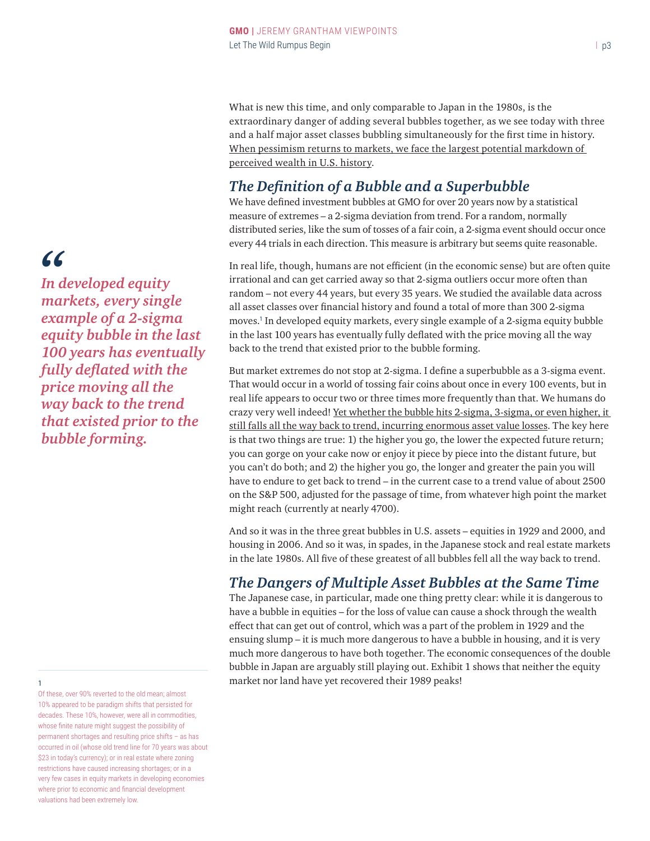What is new this time, and only comparable to Japan in the 1980s, is the extraordinary danger of adding several bubbles together, as we see today with three and a half major asset classes bubbling simultaneously for the first time in history. When pessimism returns to markets, we face the largest potential markdown of perceived wealth in U.S. history.

## *The Definition of a Bubble and a Superbubble*

We have defined investment bubbles at GMO for over 20 years now by a statistical measure of extremes – a 2-sigma deviation from trend. For a random, normally distributed series, like the sum of tosses of a fair coin, a 2-sigma event should occur once every 44 trials in each direction. This measure is arbitrary but seems quite reasonable.

In real life, though, humans are not efficient (in the economic sense) but are often quite irrational and can get carried away so that 2-sigma outliers occur more often than random – not every 44 years, but every 35 years. We studied the available data across all asset classes over financial history and found a total of more than 300 2-sigma moves.<sup>1</sup> In developed equity markets, every single example of a 2-sigma equity bubble in the last 100 years has eventually fully deflated with the price moving all the way back to the trend that existed prior to the bubble forming.

But market extremes do not stop at 2-sigma. I define a superbubble as a 3-sigma event. That would occur in a world of tossing fair coins about once in every 100 events, but in real life appears to occur two or three times more frequently than that. We humans do crazy very well indeed! Yet whether the bubble hits 2-sigma, 3-sigma, or even higher, it still falls all the way back to trend, incurring enormous asset value losses. The key here is that two things are true: 1) the higher you go, the lower the expected future return; you can gorge on your cake now or enjoy it piece by piece into the distant future, but you can't do both; and 2) the higher you go, the longer and greater the pain you will have to endure to get back to trend – in the current case to a trend value of about 2500 on the S&P 500, adjusted for the passage of time, from whatever high point the market might reach (currently at nearly 4700).

And so it was in the three great bubbles in U.S. assets – equities in 1929 and 2000, and housing in 2006. And so it was, in spades, in the Japanese stock and real estate markets in the late 1980s. All five of these greatest of all bubbles fell all the way back to trend.

## *The Dangers of Multiple Asset Bubbles at the Same Time*

The Japanese case, in particular, made one thing pretty clear: while it is dangerous to have a bubble in equities – for the loss of value can cause a shock through the wealth effect that can get out of control, which was a part of the problem in 1929 and the ensuing slump – it is much more dangerous to have a bubble in housing, and it is very much more dangerous to have both together. The economic consequences of the double bubble in Japan are arguably still playing out. Exhibit 1 shows that neither the equity <sup>1</sup> market nor land have yet recovered their 1989 peaks!

*In developed equity "markets, every single example of a 2-sigma equity bubble in the last 100 years has eventually fully deflated with the price moving all the way back to the trend that existed prior to the bubble forming.*

Of these, over 90% reverted to the old mean; almost 10% appeared to be paradigm shifts that persisted for decades. These 10%, however, were all in commodities, whose finite nature might suggest the possibility of permanent shortages and resulting price shifts – as has occurred in oil (whose old trend line for 70 years was about \$23 in today's currency); or in real estate where zoning restrictions have caused increasing shortages; or in a very few cases in equity markets in developing economies where prior to economic and financial development valuations had been extremely low.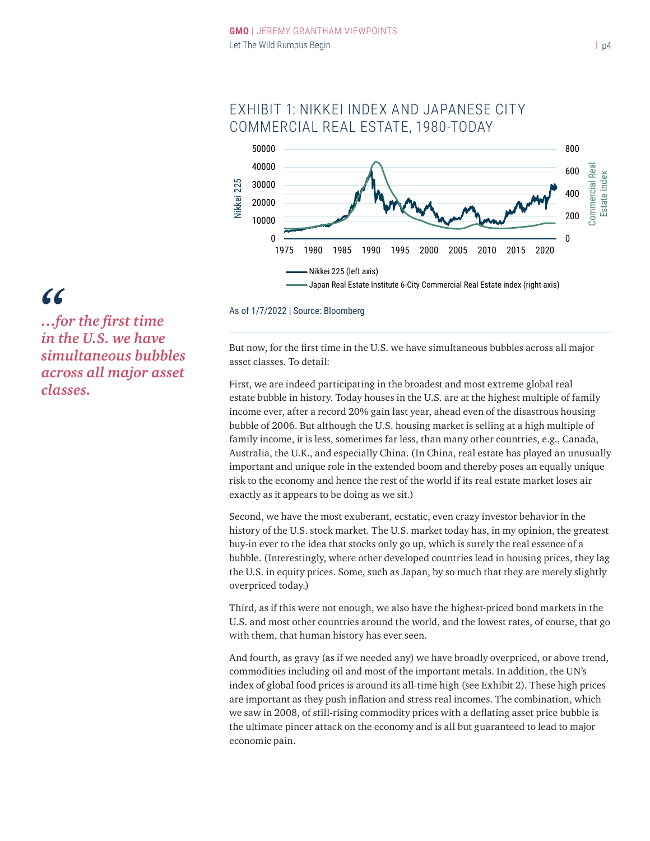

## EXHIBIT 1: NIKKEI INDEX AND JAPANESE CITY COMMERCIAL REAL ESTATE, 1980-TODAY

#### As of 1/7/2022 | Source: Bloomberg

But now, for the first time in the U.S. we have simultaneous bubbles across all major asset classes. To detail:

First, we are indeed participating in the broadest and most extreme global real estate bubble in history. Today houses in the U.S. are at the highest multiple of family income ever, after a record 20% gain last year, ahead even of the disastrous housing bubble of 2006. But although the U.S. housing market is selling at a high multiple of family income, it is less, sometimes far less, than many other countries, e.g., Canada, Australia, the U.K., and especially China. (In China, real estate has played an unusually important and unique role in the extended boom and thereby poses an equally unique risk to the economy and hence the rest of the world if its real estate market loses air exactly as it appears to be doing as we sit.)

Second, we have the most exuberant, ecstatic, even crazy investor behavior in the history of the U.S. stock market. The U.S. market today has, in my opinion, the greatest buy-in ever to the idea that stocks only go up, which is surely the real essence of a bubble. (Interestingly, where other developed countries lead in housing prices, they lag the U.S. in equity prices. Some, such as Japan, by so much that they are merely slightly overpriced today.)

Third, as if this were not enough, we also have the highest-priced bond markets in the U.S. and most other countries around the world, and the lowest rates, of course, that go with them, that human history has ever seen.

And fourth, as gravy (as if we needed any) we have broadly overpriced, or above trend, commodities including oil and most of the important metals. In addition, the UN's index of global food prices is around its all-time high (see Exhibit 2). These high prices are important as they push inflation and stress real incomes. The combination, which we saw in 2008, of still-rising commodity prices with a deflating asset price bubble is the ultimate pincer attack on the economy and is all but guaranteed to lead to major economic pain.

## *…for the first time in the U.S. we have simultaneous bubbles across all major asset classes.*

*"*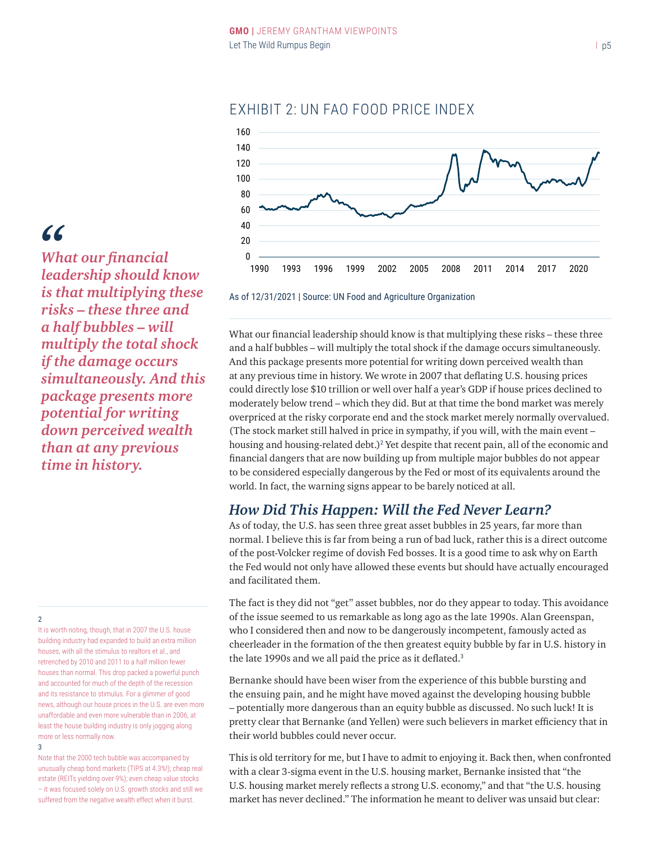

## EXHIBIT 2: UN FAO FOOD PRICE INDEX

*"*

*What our financial leadership should know is that multiplying these risks – these three and a half bubbles – will multiply the total shock if the damage occurs simultaneously. And this package presents more potential for writing down perceived wealth than at any previous time in history.*

2

It is worth noting, though, that in 2007 the U.S. house building industry had expanded to build an extra million houses, with all the stimulus to realtors et al., and retrenched by 2010 and 2011 to a half million fewer houses than normal. This drop packed a powerful punch and accounted for much of the depth of the recession and its resistance to stimulus. For a glimmer of good news, although our house prices in the U.S. are even more unaffordable and even more vulnerable than in 2006, at least the house building industry is only jogging along more or less normally now. 3

Note that the 2000 tech bubble was accompanied by unusually cheap bond markets (TIPS at 4.3%!); cheap real estate (REITs yielding over 9%); even cheap value stocks – it was focused solely on U.S. growth stocks and still we suffered from the negative wealth effect when it burst.

As of 12/31/2021 | Source: UN Food and Agriculture Organization

What our financial leadership should know is that multiplying these risks – these three and a half bubbles – will multiply the total shock if the damage occurs simultaneously. And this package presents more potential for writing down perceived wealth than at any previous time in history. We wrote in 2007 that deflating U.S. housing prices could directly lose \$10 trillion or well over half a year's GDP if house prices declined to moderately below trend – which they did. But at that time the bond market was merely overpriced at the risky corporate end and the stock market merely normally overvalued. (The stock market still halved in price in sympathy, if you will, with the main event – housing and housing-related debt.)<sup>2</sup> Yet despite that recent pain, all of the economic and financial dangers that are now building up from multiple major bubbles do not appear to be considered especially dangerous by the Fed or most of its equivalents around the world. In fact, the warning signs appear to be barely noticed at all.

## *How Did This Happen: Will the Fed Never Learn?*

As of today, the U.S. has seen three great asset bubbles in 25 years, far more than normal. I believe this is far from being a run of bad luck, rather this is a direct outcome of the post-Volcker regime of dovish Fed bosses. It is a good time to ask why on Earth the Fed would not only have allowed these events but should have actually encouraged and facilitated them.

The fact is they did not "get" asset bubbles, nor do they appear to today. This avoidance of the issue seemed to us remarkable as long ago as the late 1990s. Alan Greenspan, who I considered then and now to be dangerously incompetent, famously acted as cheerleader in the formation of the then greatest equity bubble by far in U.S. history in the late 1990s and we all paid the price as it deflated.<sup>3</sup>

Bernanke should have been wiser from the experience of this bubble bursting and the ensuing pain, and he might have moved against the developing housing bubble – potentially more dangerous than an equity bubble as discussed. No such luck! It is pretty clear that Bernanke (and Yellen) were such believers in market efficiency that in their world bubbles could never occur.

This is old territory for me, but I have to admit to enjoying it. Back then, when confronted with a clear 3-sigma event in the U.S. housing market, Bernanke insisted that "the U.S. housing market merely reflects a strong U.S. economy," and that "the U.S. housing market has never declined." The information he meant to deliver was unsaid but clear: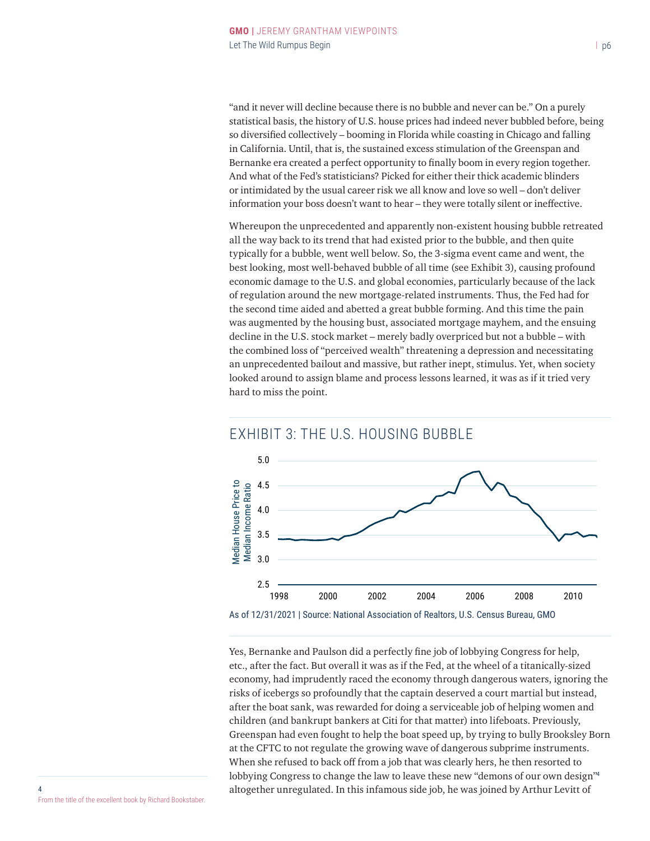"and it never will decline because there is no bubble and never can be." On a purely statistical basis, the history of U.S. house prices had indeed never bubbled before, being so diversified collectively – booming in Florida while coasting in Chicago and falling in California. Until, that is, the sustained excess stimulation of the Greenspan and Bernanke era created a perfect opportunity to finally boom in every region together. And what of the Fed's statisticians? Picked for either their thick academic blinders or intimidated by the usual career risk we all know and love so well – don't deliver information your boss doesn't want to hear – they were totally silent or ineffective.

Whereupon the unprecedented and apparently non-existent housing bubble retreated all the way back to its trend that had existed prior to the bubble, and then quite typically for a bubble, went well below. So, the 3-sigma event came and went, the best looking, most well-behaved bubble of all time (see Exhibit 3), causing profound economic damage to the U.S. and global economies, particularly because of the lack of regulation around the new mortgage-related instruments. Thus, the Fed had for the second time aided and abetted a great bubble forming. And this time the pain was augmented by the housing bust, associated mortgage mayhem, and the ensuing decline in the U.S. stock market – merely badly overpriced but not a bubble – with the combined loss of "perceived wealth" threatening a depression and necessitating an unprecedented bailout and massive, but rather inept, stimulus. Yet, when society looked around to assign blame and process lessons learned, it was as if it tried very hard to miss the point.



### Yes, Bernanke and Paulson did a perfectly fine job of lobbying Congress for help, etc., after the fact. But overall it was as if the Fed, at the wheel of a titanically-sized economy, had imprudently raced the economy through dangerous waters, ignoring the risks of icebergs so profoundly that the captain deserved a court martial but instead, after the boat sank, was rewarded for doing a serviceable job of helping women and children (and bankrupt bankers at Citi for that matter) into lifeboats. Previously, Greenspan had even fought to help the boat speed up, by trying to bully Brooksley Born at the CFTC to not regulate the growing wave of dangerous subprime instruments. When she refused to back off from a job that was clearly hers, he then resorted to lobbying Congress to change the law to leave these new "demons of our own design"<sup>4</sup> altogether unregulated. In this infamous side job, he was joined by Arthur Levitt of

4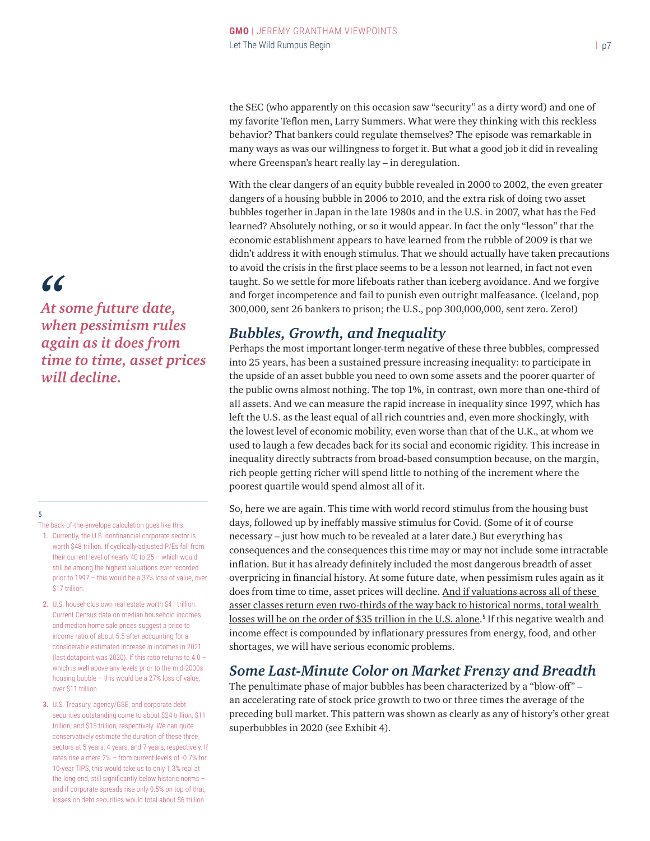the SEC (who apparently on this occasion saw "security" as a dirty word) and one of my favorite Teflon men, Larry Summers. What were they thinking with this reckless behavior? That bankers could regulate themselves? The episode was remarkable in many ways as was our willingness to forget it. But what a good job it did in revealing where Greenspan's heart really lay – in deregulation.

With the clear dangers of an equity bubble revealed in 2000 to 2002, the even greater dangers of a housing bubble in 2006 to 2010, and the extra risk of doing two asset bubbles together in Japan in the late 1980s and in the U.S. in 2007, what has the Fed learned? Absolutely nothing, or so it would appear. In fact the only "lesson" that the economic establishment appears to have learned from the rubble of 2009 is that we didn't address it with enough stimulus. That we should actually have taken precautions to avoid the crisis in the first place seems to be a lesson not learned, in fact not even taught. So we settle for more lifeboats rather than iceberg avoidance. And we forgive and forget incompetence and fail to punish even outright malfeasance. (Iceland, pop 300,000, sent 26 bankers to prison; the U.S., pop 300,000,000, sent zero. Zero!)

## *Bubbles, Growth, and Inequality*

Perhaps the most important longer-term negative of these three bubbles, compressed into 25 years, has been a sustained pressure increasing inequality: to participate in the upside of an asset bubble you need to own some assets and the poorer quarter of the public owns almost nothing. The top 1%, in contrast, own more than one-third of all assets. And we can measure the rapid increase in inequality since 1997, which has left the U.S. as the least equal of all rich countries and, even more shockingly, with the lowest level of economic mobility, even worse than that of the U.K., at whom we used to laugh a few decades back for its social and economic rigidity. This increase in inequality directly subtracts from broad-based consumption because, on the margin, rich people getting richer will spend little to nothing of the increment where the poorest quartile would spend almost all of it.

So, here we are again. This time with world record stimulus from the housing bust days, followed up by ineffably massive stimulus for Covid. (Some of it of course necessary – just how much to be revealed at a later date.) But everything has consequences and the consequences this time may or may not include some intractable inflation. But it has already definitely included the most dangerous breadth of asset overpricing in financial history. At some future date, when pessimism rules again as it does from time to time, asset prices will decline. And if valuations across all of these asset classes return even two-thirds of the way back to historical norms, total wealth losses will be on the order of \$35 trillion in the U.S. alone.<sup>5</sup> If this negative wealth and income effect is compounded by inflationary pressures from energy, food, and other shortages, we will have serious economic problems.

## *Some Last-Minute Color on Market Frenzy and Breadth*

The penultimate phase of major bubbles has been characterized by a "blow-off" – an accelerating rate of stock price growth to two or three times the average of the preceding bull market. This pattern was shown as clearly as any of history's other great superbubbles in 2020 (see Exhibit 4).

*At some future date, "when pessimism rules again as it does from time to time, asset prices will decline.*

#### 5

The back-of-the-envelope calculation goes like this:

- 1. Currently, the U.S. nonfinancial corporate sector is worth \$48 trillion. If cyclically-adjusted P/Es fall from their current level of nearly 40 to 25 – which would still be among the highest valuations ever recorded prior to 1997 – this would be a 37% loss of value, over \$17 trillion.
- 2. U.S. households own real estate worth \$41 trillion. Current Census data on median household incomes and median home sale prices suggest a price to income ratio of about 5.5 after accounting for a considerable estimated increase in incomes in 2021 (last datapoint was 2020). If this ratio returns to 4.0 – which is well above any levels prior to the mid-2000s housing bubble – this would be a 27% loss of value, over \$11 trillion.
- 3. U.S. Treasury, agency/GSE, and corporate debt securities outstanding come to about \$24 trillion, \$11 trillion, and \$15 trillion, respectively. We can quite conservatively estimate the duration of these three sectors at 5 years, 4 years, and 7 years, respectively. If rates rise a mere 2% – from current levels of -0.7% for 10-year TIPS, this would take us to only 1.3% real at the long end, still significantly below historic norms – and if corporate spreads rise only 0.5% on top of that, losses on debt securities would total about \$6 trillion.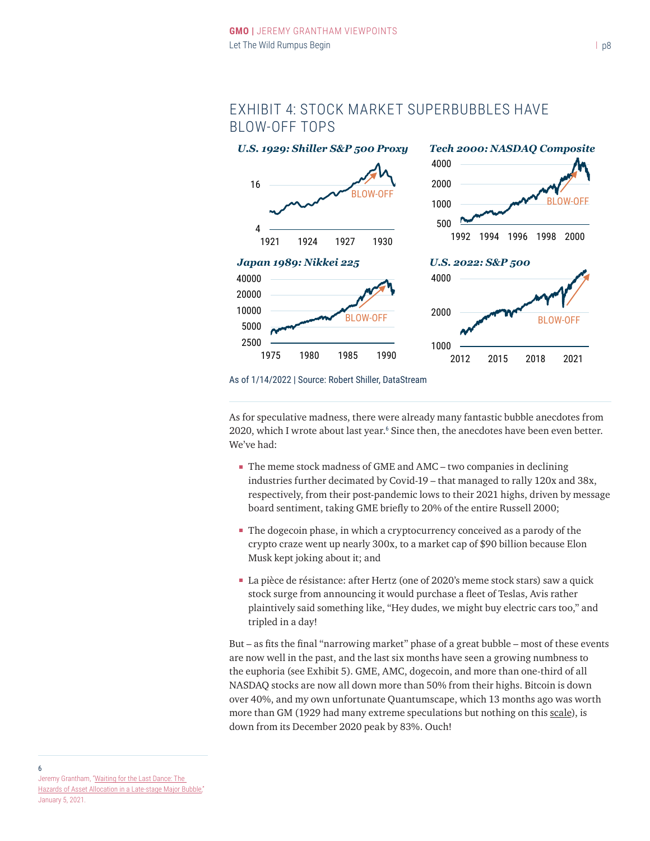## EXHIBIT 4: STOCK MARKET SUPERBUBBLES HAVE BLOW-OFF TOPS



As of 1/14/2022 | Source: Robert Shiller, DataStream

As for speculative madness, there were already many fantastic bubble anecdotes from 2020, which I wrote about last year.<sup>6</sup> Since then, the anecdotes have been even better. We've had:

- The meme stock madness of GME and AMC two companies in declining industries further decimated by Covid-19 – that managed to rally 120x and 38x, respectively, from their post-pandemic lows to their 2021 highs, driven by message board sentiment, taking GME briefly to 20% of the entire Russell 2000;
- The dogecoin phase, in which a cryptocurrency conceived as a parody of the crypto craze went up nearly 300x, to a market cap of \$90 billion because Elon Musk kept joking about it; and
- La pièce de résistance: after Hertz (one of 2020's meme stock stars) saw a quick stock surge from announcing it would purchase a fleet of Teslas, Avis rather plaintively said something like, "Hey dudes, we might buy electric cars too," and tripled in a day!

But – as fits the final "narrowing market" phase of a great bubble – most of these events are now well in the past, and the last six months have seen a growing numbness to the euphoria (see Exhibit 5). GME, AMC, dogecoin, and more than one-third of all NASDAQ stocks are now all down more than 50% from their highs. Bitcoin is down over 40%, and my own unfortunate Quantumscape, which 13 months ago was worth more than GM (1929 had many extreme speculations but nothing on this scale), is down from its December 2020 peak by 83%. Ouch!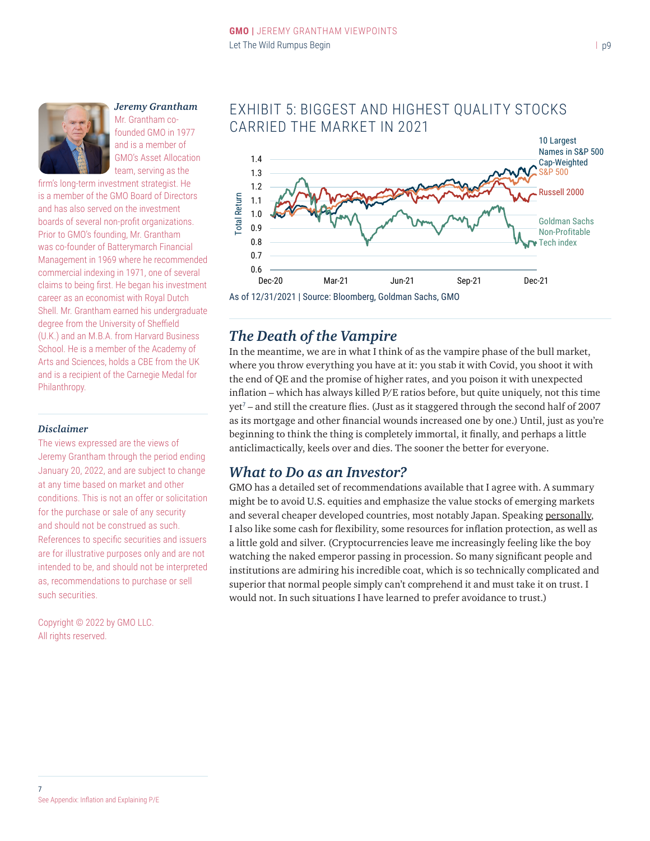

#### *Jeremy Grantham* Mr. Grantham co-

founded GMO in 1977 and is a member of GMO's Asset Allocation team, serving as the

firm's long-term investment strategist. He is a member of the GMO Board of Directors and has also served on the investment boards of several non-profit organizations. Prior to GMO's founding, Mr. Grantham was co-founder of Batterymarch Financial Management in 1969 where he recommended commercial indexing in 1971, one of several claims to being first. He began his investment career as an economist with Royal Dutch Shell. Mr. Grantham earned his undergraduate degree from the University of Sheffield (U.K.) and an M.B.A. from Harvard Business School. He is a member of the Academy of Arts and Sciences, holds a CBE from the UK and is a recipient of the Carnegie Medal for Philanthropy.

#### *Disclaimer*

The views expressed are the views of Jeremy Grantham through the period ending January 20, 2022, and are subject to change at any time based on market and other conditions. This is not an offer or solicitation for the purchase or sale of any security and should not be construed as such. References to specific securities and issuers are for illustrative purposes only and are not intended to be, and should not be interpreted as, recommendations to purchase or sell such securities.

Copyright © 2022 by GMO LLC. All rights reserved.

## EXHIBIT 5: BIGGEST AND HIGHEST QUALITY STOCKS CARRIED THE MARKET IN 2021



## *The Death of the Vampire*

In the meantime, we are in what I think of as the vampire phase of the bull market, where you throw everything you have at it: you stab it with Covid, you shoot it with the end of QE and the promise of higher rates, and you poison it with unexpected inflation – which has always killed  $P/E$  ratios before, but quite uniquely, not this time yet<sup>7</sup> – and still the creature flies. (Just as it staggered through the second half of 2007 as its mortgage and other financial wounds increased one by one.) Until, just as you're beginning to think the thing is completely immortal, it finally, and perhaps a little anticlimactically, keels over and dies. The sooner the better for everyone.

## *What to Do as an Investor?*

GMO has a detailed set of recommendations available that I agree with. A summary might be to avoid U.S. equities and emphasize the value stocks of emerging markets and several cheaper developed countries, most notably Japan. Speaking personally, I also like some cash for flexibility, some resources for inflation protection, as well as a little gold and silver. (Cryptocurrencies leave me increasingly feeling like the boy watching the naked emperor passing in procession. So many significant people and institutions are admiring his incredible coat, which is so technically complicated and superior that normal people simply can't comprehend it and must take it on trust. I would not. In such situations I have learned to prefer avoidance to trust.)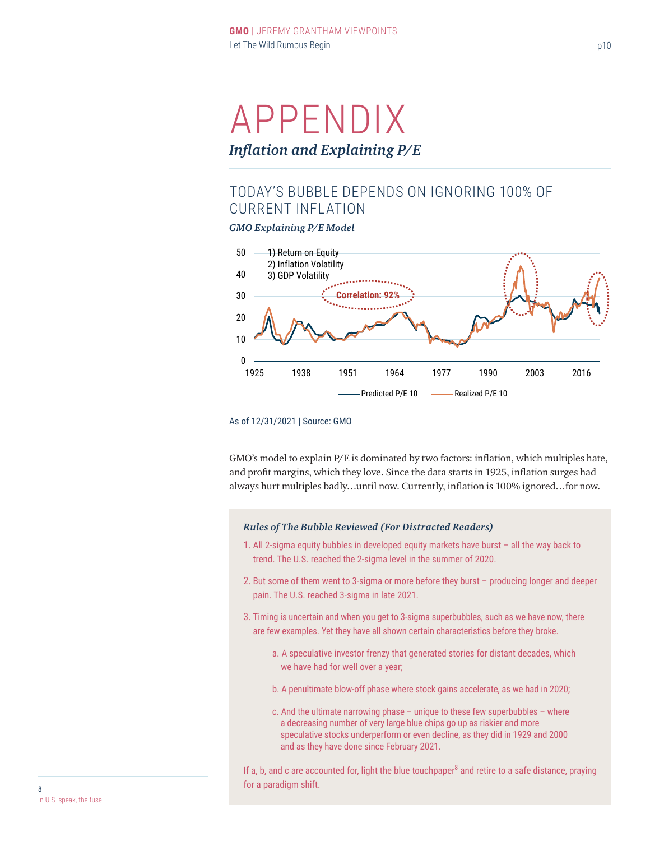# APPENDIX *Inflation and Explaining P/E*

## TODAY'S BUBBLE DEPENDS ON IGNORING 100% OF CURRENT INFLATION

*GMO Explaining P/E Model*



#### As of 12/31/2021 | Source: GMO

GMO's model to explain P/E is dominated by two factors: inflation, which multiples hate, and profit margins, which they love. Since the data starts in 1925, inflation surges had always hurt multiples badly...until now. Currently, inflation is 100% ignored...for now.

#### *Rules of The Bubble Reviewed (For Distracted Readers)*

- 1. All 2-sigma equity bubbles in developed equity markets have burst all the way back to trend. The U.S. reached the 2-sigma level in the summer of 2020.
- 2. But some of them went to 3-sigma or more before they burst producing longer and deeper pain. The U.S. reached 3-sigma in late 2021.
- 3. Timing is uncertain and when you get to 3-sigma superbubbles, such as we have now, there are few examples. Yet they have all shown certain characteristics before they broke.
	- a. A speculative investor frenzy that generated stories for distant decades, which we have had for well over a year;
	- b. A penultimate blow-off phase where stock gains accelerate, as we had in 2020;
	- c. And the ultimate narrowing phase  $-$  unique to these few superbubbles  $-$  where a decreasing number of very large blue chips go up as riskier and more speculative stocks underperform or even decline, as they did in 1929 and 2000 and as they have done since February 2021.

If a, b, and c are accounted for, light the blue touchpaper $^8$  and retire to a safe distance, praying **for a paradigm shift.** 8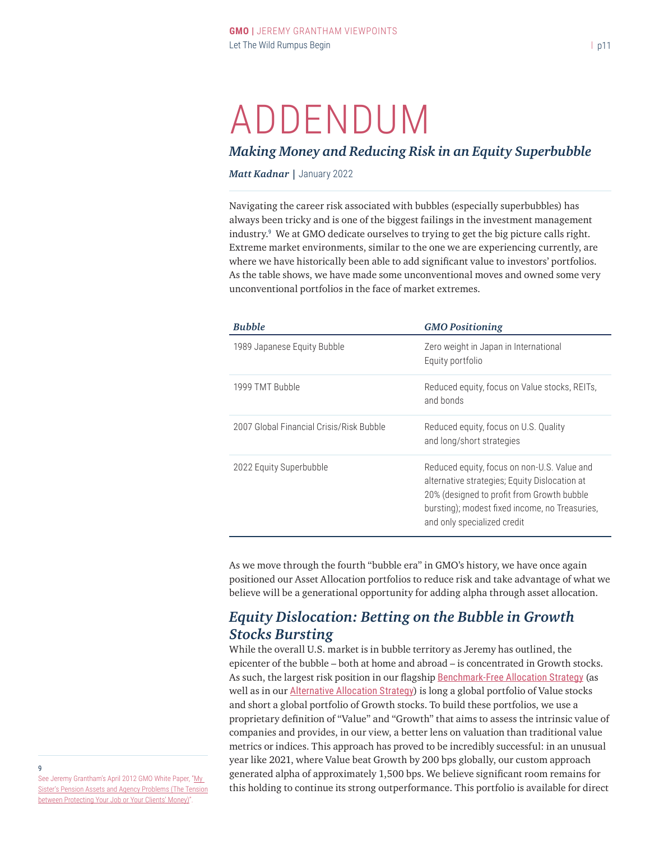# ADDENDUM

## *Making Money and Reducing Risk in an Equity Superbubble*

*Matt Kadnar |* January 2022

Navigating the career risk associated with bubbles (especially superbubbles) has always been tricky and is one of the biggest failings in the investment management industry.<sup>9</sup> We at GMO dedicate ourselves to trying to get the big picture calls right. Extreme market environments, similar to the one we are experiencing currently, are where we have historically been able to add significant value to investors' portfolios. As the table shows, we have made some unconventional moves and owned some very unconventional portfolios in the face of market extremes.

| <b>Bubble</b>                            | <b>GMO Positioning</b>                                                                                                                                                                                                      |
|------------------------------------------|-----------------------------------------------------------------------------------------------------------------------------------------------------------------------------------------------------------------------------|
| 1989 Japanese Equity Bubble              | Zero weight in Japan in International<br>Equity portfolio                                                                                                                                                                   |
| 1999 TMT Bubble                          | Reduced equity, focus on Value stocks, REITs,<br>and bonds                                                                                                                                                                  |
| 2007 Global Financial Crisis/Risk Bubble | Reduced equity, focus on U.S. Quality<br>and long/short strategies                                                                                                                                                          |
| 2022 Equity Superbubble                  | Reduced equity, focus on non-U.S. Value and<br>alternative strategies; Equity Dislocation at<br>20% (designed to profit from Growth bubble<br>bursting); modest fixed income, no Treasuries,<br>and only specialized credit |

As we move through the fourth "bubble era" in GMO's history, we have once again positioned our Asset Allocation portfolios to reduce risk and take advantage of what we believe will be a generational opportunity for adding alpha through asset allocation.

## *Equity Dislocation: Betting on the Bubble in Growth Stocks Bursting*

While the overall U.S. market is in bubble territory as Jeremy has outlined, the epicenter of the bubble – both at home and abroad – is concentrated in Growth stocks. As such, the largest risk position in our flagship [Benchmark-Free Allocation Strategy](https://www.gmo.com/americas/product-index-page/multi-asset-class/benchmark-free-allocation-strategy/) (as well as in our **[Alternative Allocation Strategy](https://www.gmo.com/americas/product-index-page/alternatives/alternative-allocation-strategy/)**) is long a global portfolio of Value stocks and short a global portfolio of Growth stocks. To build these portfolios, we use a proprietary definition of "Value" and "Growth" that aims to assess the intrinsic value of companies and provides, in our view, a better lens on valuation than traditional value metrics or indices. This approach has proved to be incredibly successful: in an unusual year like 2021, where Value beat Growth by 200 bps globally, our custom approach generated alpha of approximately 1,500 bps. We believe significant room remains for this holding to continue its strong outperformance. This portfolio is available for direct

See Jeremy Grantham's April 2012 GMO White Paper, "[My](https://www.gmo.com/americas/research-library/my-sisters-pension-assets-and-agency-problems/)  [Sister's Pension Assets and Agency Problems \(The Tension](https://www.gmo.com/americas/research-library/my-sisters-pension-assets-and-agency-problems/) [between Protecting Your Job or Your Clients' Money\)](https://www.gmo.com/americas/research-library/my-sisters-pension-assets-and-agency-problems/)".

9